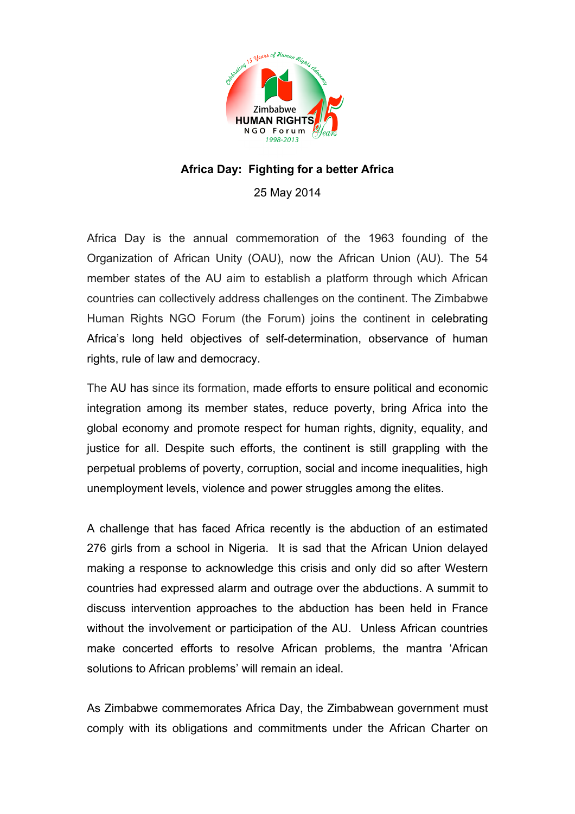

## **Africa Day: Fighting for a better Africa**

25 May 2014

Africa Day is the annual commemoration of the 1963 founding of the Organization of African Unity (OAU), now the African Union (AU). The 54 member states of the AU aim to establish a platform through which African countries can collectively address challenges on the continent. The Zimbabwe Human Rights NGO Forum (the Forum) joins the continent in celebrating Africa's long held objectives of self-determination, observance of human rights, rule of law and democracy.

The AU has since its formation, made efforts to ensure political and economic integration among its member states, reduce poverty, bring Africa into the global economy and promote respect for human rights, dignity, equality, and justice for all. Despite such efforts, the continent is still grappling with the perpetual problems of poverty, corruption, social and income inequalities, high unemployment levels, violence and power struggles among the elites.

A challenge that has faced Africa recently is the abduction of an estimated 276 girls from a school in Nigeria. It is sad that the African Union delayed making a response to acknowledge this crisis and only did so after Western countries had expressed alarm and outrage over the abductions. A summit to discuss intervention approaches to the abduction has been held in France without the involvement or participation of the AU. Unless African countries make concerted efforts to resolve African problems, the mantra 'African solutions to African problems' will remain an ideal.

As Zimbabwe commemorates Africa Day, the Zimbabwean government must comply with its obligations and commitments under the African Charter on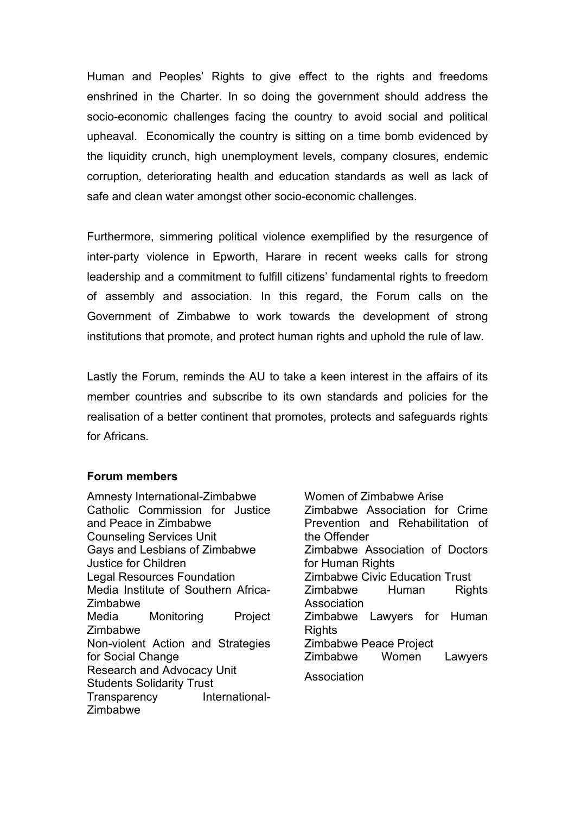Human and Peoples' Rights to give effect to the rights and freedoms enshrined in the Charter. In so doing the government should address the socio-economic challenges facing the country to avoid social and political upheaval. Economically the country is sitting on a time bomb evidenced by the liquidity crunch, high unemployment levels, company closures, endemic corruption, deteriorating health and education standards as well as lack of safe and clean water amongst other socio-economic challenges.

Furthermore, simmering political violence exemplified by the resurgence of inter-party violence in Epworth, Harare in recent weeks calls for strong leadership and a commitment to fulfill citizens' fundamental rights to freedom of assembly and association. In this regard, the Forum calls on the Government of Zimbabwe to work towards the development of strong institutions that promote, and protect human rights and uphold the rule of law.

Lastly the Forum, reminds the AU to take a keen interest in the affairs of its member countries and subscribe to its own standards and policies for the realisation of a better continent that promotes, protects and safeguards rights for Africans.

## **Forum members**

Amnesty International-Zimbabwe Catholic Commission for Justice and Peace in Zimbabwe Counseling Services Unit Gays and Lesbians of Zimbabwe Justice for Children Legal Resources Foundation Media Institute of Southern Africa-Zimbabwe Media Monitoring Project Zimbabwe Non-violent Action and Strategies for Social Change Research and Advocacy Unit Students Solidarity Trust Transparency International-Zimbabwe

Women of Zimbabwe Arise Zimbabwe Association for Crime Prevention and Rehabilitation of the Offender Zimbabwe Association of Doctors for Human Rights Zimbabwe Civic Education Trust Zimbabwe Human Rights Association Zimbabwe Lawyers for Human **Rights** Zimbabwe Peace Project Zimbabwe Women Lawyers Association